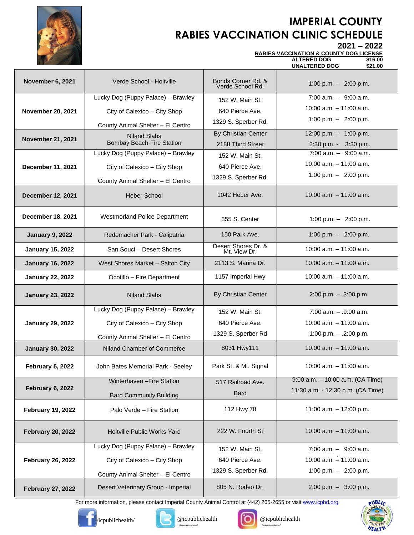

## **IMPERIAL COUNTY RABIES VACCINATION CLINIC SCHEDULE**

**2021 – 2022 RABIES VACCINATION & COUNTY DOG LICENSE**

| <b>RABIES VACCINATION &amp; COUNTY DOG LIC</b> |  |
|------------------------------------------------|--|
|                                                |  |

|                          |                                      |                                        | <b>ALTERED DOG</b><br>\$16.00<br><b>UNALTERED DOG</b><br>\$21.00 |
|--------------------------|--------------------------------------|----------------------------------------|------------------------------------------------------------------|
| November 6, 2021         | Verde School - Holtville             | Bonds Corner Rd. &<br>Verde School Rd. | 1:00 p.m. $-$ 2:00 p.m.                                          |
|                          | Lucky Dog (Puppy Palace) - Brawley   | 152 W. Main St.                        | $7:00$ a.m. $-$ 9:00 a.m.                                        |
| <b>November 20, 2021</b> | City of Calexico - City Shop         | 640 Pierce Ave.                        | $10:00$ a.m. $-11:00$ a.m.                                       |
|                          | County Animal Shelter - El Centro    | 1329 S. Sperber Rd.                    | 1:00 p.m. $-$ 2:00 p.m.                                          |
|                          | <b>Niland Slabs</b>                  | <b>By Christian Center</b>             | 12:00 p.m. $-$ 1:00 p.m.                                         |
| <b>November 21, 2021</b> | <b>Bombay Beach-Fire Station</b>     | 2188 Third Street                      | 2:30 p.m. - 3:30 p.m.                                            |
|                          | Lucky Dog (Puppy Palace) - Brawley   | 152 W. Main St.                        | $7:00$ a.m. $-$ 9:00 a.m.                                        |
| December 11, 2021        | City of Calexico - City Shop         | 640 Pierce Ave.                        | $10:00$ a.m. $-11:00$ a.m.                                       |
|                          | County Animal Shelter - El Centro    | 1329 S. Sperber Rd.                    | 1:00 p.m. $-$ 2:00 p.m.                                          |
| <b>December 12, 2021</b> | <b>Heber School</b>                  | 1042 Heber Ave.                        | $10:00$ a.m. $-11:00$ a.m.                                       |
| December 18, 2021        | <b>Westmorland Police Department</b> | 355 S. Center                          | 1:00 p.m. $-$ 2:00 p.m.                                          |
| <b>January 9, 2022</b>   | Redemacher Park - Calipatria         | 150 Park Ave.                          | 1:00 p.m. $-$ 2:00 p.m.                                          |
| <b>January 15, 2022</b>  | San Souci - Desert Shores            | Desert Shores Dr. &<br>Mt. View Dr.    | $10:00$ a.m. $-11:00$ a.m.                                       |
| <b>January 16, 2022</b>  | West Shores Market - Salton City     | 2113 S. Marina Dr.                     | $10:00$ a.m. $-11:00$ a.m.                                       |
| <b>January 22, 2022</b>  | Ocotillo - Fire Department           | 1157 Imperial Hwy                      | 10:00 a.m. $-$ 11:00 a.m.                                        |
| <b>January 23, 2022</b>  | <b>Niland Slabs</b>                  | <b>By Christian Center</b>             | $2:00$ p.m. $- .3:00$ p.m.                                       |
|                          | Lucky Dog (Puppy Palace) - Brawley   | 152 W. Main St.                        | $7:00$ a.m. $- .9:00$ a.m.                                       |
| <b>January 29, 2022</b>  | City of Calexico - City Shop         | 640 Pierce Ave.                        | $10:00$ a.m. $-11:00$ a.m.                                       |
|                          | County Animal Shelter - El Centro    | 1329 S. Sperber Rd                     | 1:00 p.m. $-$ .2:00 p.m.                                         |
| <b>January 30, 2022</b>  | Niland Chamber of Commerce           | 8031 Hwy111                            | $10:00$ a.m. $-11:00$ a.m.                                       |
| <b>February 5, 2022</b>  | John Bates Memorial Park - Seeley    | Park St. & Mt. Signal                  | 10:00 a.m. - 11:00 a.m.                                          |
| February 6, 2022         | Winterhaven - Fire Station           | 517 Railroad Ave.                      | $9:00$ a.m. $-10:00$ a.m. (CA Time)                              |
|                          | <b>Bard Community Building</b>       | <b>Bard</b>                            | 11:30 a.m. - 12:30 p.m. (CA Time)                                |
| <b>February 19, 2022</b> | Palo Verde - Fire Station            | 112 Hwy 78                             | 11:00 a.m. $-$ 12:00 p.m.                                        |
| <b>February 20, 2022</b> | Holtville Public Works Yard          | 222 W. Fourth St                       | 10:00 a.m. $-11:00$ a.m.                                         |
|                          | Lucky Dog (Puppy Palace) - Brawley   | 152 W. Main St.                        | $7:00$ a.m. $-$ 9:00 a.m.                                        |
| <b>February 26, 2022</b> | City of Calexico - City Shop         | 640 Pierce Ave.                        | 10:00 a.m. - 11:00 a.m.                                          |
|                          | County Animal Shelter - El Centro    | 1329 S. Sperber Rd.                    | 1:00 p.m. $-$ 2:00 p.m.                                          |
| <b>February 27, 2022</b> | Desert Veterinary Group - Imperial   | 805 N. Rodeo Dr.                       | $2:00 \text{ p.m.} - 3:00 \text{ p.m.}$                          |

For more information, please contact Imperial County Animal Control at (442) 265-2655 or visi[t www.icphd.org](http://www.icphd.org/)